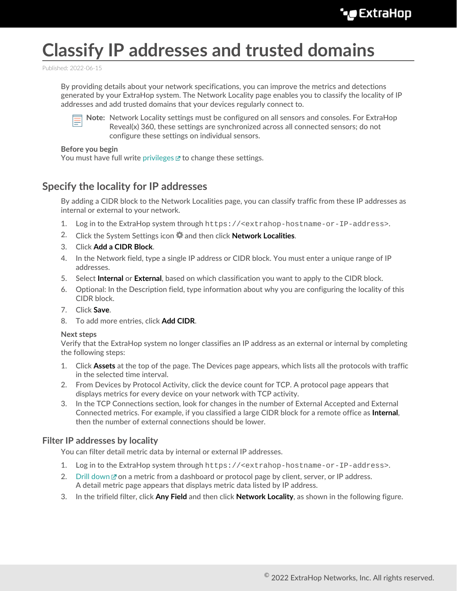# **Classify IP addresses and trusted domains**

Published: 2022-06-15

By providing details about your network specifications, you can improve the metrics and detections generated by your ExtraHop system. The Network Locality page enables you to classify the locality of IP addresses and add trusted domains that your devices regularly connect to.



**Note:** Network Locality settings must be configured on all sensors and consoles. For ExtraHop Reveal(x) 360, these settings are synchronized across all connected sensors; do not configure these settings on individual sensors.

#### **Before you begin**

You must have full write [privileges](https://docs.extrahop.com/8.9/users-overview/#user-privileges)  $\mathbb Z$  to change these settings.

### **Specify the locality for IP addresses**

By adding a CIDR block to the Network Localities page, you can classify traffic from these IP addresses as internal or external to your network.

- 1. Log in to the ExtraHop system through https://<extrahop-hostname-or-IP-address>.
- 2. Click the System Settings icon and then click **Network Localities**.
- 3. Click **Add a CIDR Block**.
- 4. In the Network field, type a single IP address or CIDR block. You must enter a unique range of IP addresses.
- 5. Select **Internal** or **External**, based on which classification you want to apply to the CIDR block.
- 6. Optional: In the Description field, type information about why you are configuring the locality of this CIDR block.
- 7. Click **Save**.
- 8. To add more entries, click **Add CIDR**.

#### **Next steps**

Verify that the ExtraHop system no longer classifies an IP address as an external or internal by completing the following steps:

- 1. Click **Assets** at the top of the page. The Devices page appears, which lists all the protocols with traffic in the selected time interval.
- 2. From Devices by Protocol Activity, click the device count for TCP. A protocol page appears that displays metrics for every device on your network with TCP activity.
- 3. In the TCP Connections section, look for changes in the number of External Accepted and External Connected metrics. For example, if you classified a large CIDR block for a remote office as **Internal**, then the number of external connections should be lower.

#### **Filter IP addresses by locality**

You can filter detail metric data by internal or external IP addresses.

- 1. Log in to the ExtraHop system through https://<extrahop-hostname-or-IP-address>.
- 2. [Drill down](https://docs.extrahop.com/8.9/drill-down)  $\mathbb Z$  on a metric from a dashboard or protocol page by client, server, or IP address. A detail metric page appears that displays metric data listed by IP address.
- 3. In the trifield filter, click **Any Field** and then click **Network Locality**, as shown in the following figure.